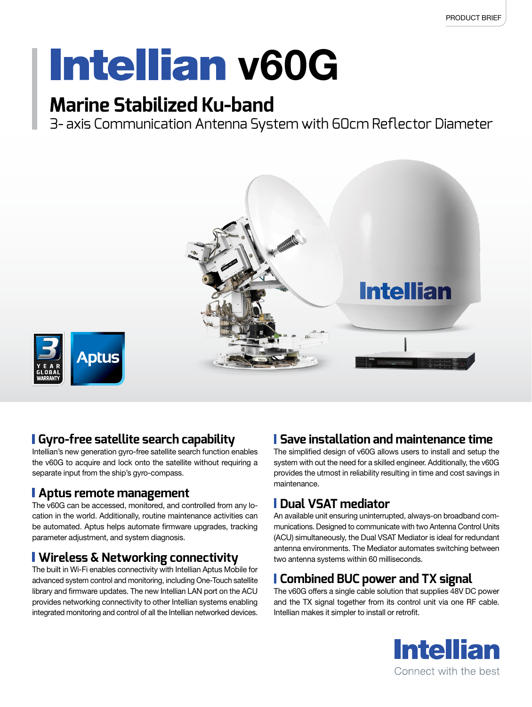# **Intellian v60G**

### **Marine Stabilized Ku-band**

3- axis Communication Antenna System with 60cm Reflector Diameter



### **Gyro-free satellite search capability**

Intellian's new generation gyro-free satellite search function enables the v60G to acquire and lock onto the satellite without requiring a separate input from the ship's gyro-compass.

### **Aptus remote management**

The v60G can be accessed, monitored, and controlled from any location in the world. Additionally, routine maintenance activities can be automated. Aptus helps automate firmware upgrades, tracking parameter adjustment, and system diagnosis.

### **Wireless & Networking connectivity**

The built in Wi-Fi enables connectivity with Intellian Aptus Mobile for advanced system control and monitoring, including One-Touch satellite library and firmware updates. The new Intellian LAN port on the ACU provides networking connectivity to other Intellian systems enabling integrated monitoring and control of all the Intellian networked devices.

### **Save installation and maintenance time**

The simplified design of v60G allows users to install and setup the system with out the need for a skilled engineer. Additionally, the v60G provides the utmost in reliability resulting in time and cost savings in maintenance.

### **Dual VSAT mediator**

An available unit ensuring uninterrupted, always-on broadband communications. Designed to communicate with two Antenna Control Units (ACU) simultaneously, the Dual VSAT Mediator is ideal for redundant antenna environments. The Mediator automates switching between two antenna systems within 60 milliseconds.

### **Combined BUC power and TX signal**

The v60G offers a single cable solution that supplies 48V DC power and the TX signal together from its control unit via one RF cable. Intellian makes it simpler to install or retrofit.